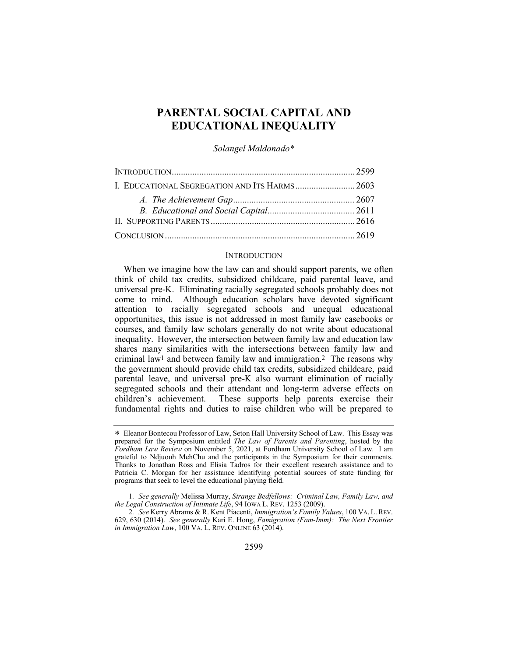# **PARENTAL SOCIAL CAPITAL AND EDUCATIONAL INEQUALITY**

*Solangel Maldonado\**

| I. EDUCATIONAL SEGREGATION AND ITS HARMS 2603 |  |
|-----------------------------------------------|--|
|                                               |  |
|                                               |  |
|                                               |  |
|                                               |  |

## **INTRODUCTION**

When we imagine how the law can and should support parents, we often think of child tax credits, subsidized childcare, paid parental leave, and universal pre-K. Eliminating racially segregated schools probably does not come to mind. Although education scholars have devoted significant attention to racially segregated schools and unequal educational opportunities, this issue is not addressed in most family law casebooks or courses, and family law scholars generally do not write about educational inequality. However, the intersection between family law and education law shares many similarities with the intersections between family law and criminal law1 and between family law and immigration.2 The reasons why the government should provide child tax credits, subsidized childcare, paid parental leave, and universal pre-K also warrant elimination of racially segregated schools and their attendant and long-term adverse effects on children's achievement. These supports help parents exercise their fundamental rights and duties to raise children who will be prepared to

<sup>\*</sup> Eleanor Bontecou Professor of Law, Seton Hall University School of Law. This Essay was prepared for the Symposium entitled *The Law of Parents and Parenting*, hosted by the *Fordham Law Review* on November 5, 2021, at Fordham University School of Law. I am grateful to Ndjuouh MehChu and the participants in the Symposium for their comments. Thanks to Jonathan Ross and Elisia Tadros for their excellent research assistance and to Patricia C. Morgan for her assistance identifying potential sources of state funding for programs that seek to level the educational playing field.

<sup>1</sup>*. See generally* Melissa Murray, *Strange Bedfellows: Criminal Law, Family Law, and the Legal Construction of Intimate Life*, 94 IOWA L. REV. 1253 (2009).

<sup>2</sup>*. See* Kerry Abrams & R. Kent Piacenti, *Immigration's Family Values*, 100 VA. L. REV. 629, 630 (2014). *See generally* Kari E. Hong, *Famigration (Fam-Imm): The Next Frontier in Immigration Law*, 100 VA. L. REV. ONLINE 63 (2014).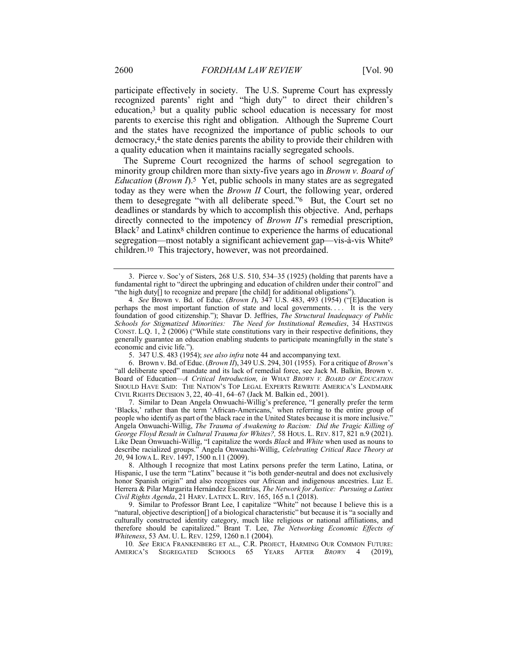participate effectively in society. The U.S. Supreme Court has expressly recognized parents' right and "high duty" to direct their children's education,3 but a quality public school education is necessary for most parents to exercise this right and obligation. Although the Supreme Court and the states have recognized the importance of public schools to our democracy,4 the state denies parents the ability to provide their children with a quality education when it maintains racially segregated schools.

The Supreme Court recognized the harms of school segregation to minority group children more than sixty-five years ago in *Brown v. Board of Education (Brown I).*<sup>5</sup> Yet, public schools in many states are as segregated today as they were when the *Brown II* Court, the following year, ordered them to desegregate "with all deliberate speed."6 But, the Court set no deadlines or standards by which to accomplish this objective. And, perhaps directly connected to the impotency of *Brown II*'s remedial prescription, Black7 and Latinx8 children continue to experience the harms of educational segregation—most notably a significant achievement gap—vis-à-vis White9 children.10 This trajectory, however, was not preordained.

6. Brown v. Bd. of Educ. (*Brown II*), 349 U.S. 294, 301 (1955). For a critique of *Brown*'s "all deliberate speed" mandate and its lack of remedial force, see Jack M. Balkin, Brown v. Board of Education*—A Critical Introduction, in* WHAT *BROWN V. BOARD OF EDUCATION* SHOULD HAVE SAID: THE NATION'S TOP LEGAL EXPERTS REWRITE AMERICA'S LANDMARK CIVIL RIGHTS DECISION 3, 22, 40–41, 64–67 (Jack M. Balkin ed., 2001).

7. Similar to Dean Angela Onwuachi-Willig's preference, "I generally prefer the term 'Blacks,' rather than the term 'African-Americans,' when referring to the entire group of people who identify as part of the black race in the United States because it is more inclusive." Angela Onwuachi-Willig, *The Trauma of Awakening to Racism: Did the Tragic Killing of George Floyd Result in Cultural Trauma for Whites?,* 58 HOUS. L. REV. 817, 821 n.9 (2021). Like Dean Onwuachi-Willig, "I capitalize the words *Black* and *White* when used as nouns to describe racialized groups." Angela Onwuachi-Willig, *Celebrating Critical Race Theory at 20*, 94 IOWA L. REV. 1497, 1500 n.11 (2009).

8. Although I recognize that most Latinx persons prefer the term Latino, Latina, or Hispanic, I use the term "Latinx" because it "is both gender-neutral and does not exclusively honor Spanish origin" and also recognizes our African and indigenous ancestries. Luz E. Herrera & Pilar Margarita Hernández Escontrías, *The Network for Justice: Pursuing a Latinx Civil Rights Agenda*, 21 HARV. LATINX L. REV. 165, 165 n.1 (2018).

9. Similar to Professor Brant Lee, I capitalize "White" not because I believe this is a "natural, objective description[] of a biological characteristic" but because it is "a socially and culturally constructed identity category, much like religious or national affiliations, and therefore should be capitalized." Brant T. Lee, *The Networking Economic Effects of Whiteness*, 53 AM. U. L. REV. 1259, 1260 n.1 (2004).

10*. See* ERICA FRANKENBERG ET AL., C.R. PROJECT, HARMING OUR COMMON FUTURE: AMERICA'S SEGREGATED SCHOOLS 65 YEARS AFTER *BROWN* 4 (2019),

<sup>3.</sup> Pierce v. Soc'y of Sisters, 268 U.S. 510, 534–35 (1925) (holding that parents have a fundamental right to "direct the upbringing and education of children under their control" and "the high duty[] to recognize and prepare [the child] for additional obligations").

<sup>4</sup>*. See* Brown v. Bd. of Educ. (*Brown I*), 347 U.S. 483, 493 (1954) ("[E]ducation is perhaps the most important function of state and local governments.... It is the very foundation of good citizenship."); Shavar D. Jeffries, *The Structural Inadequacy of Public Schools for Stigmatized Minorities: The Need for Institutional Remedies*, 34 HASTINGS CONST. L.Q. 1,  $\tilde{2}$  (2006) ("While state constitutions vary in their respective definitions, they generally guarantee an education enabling students to participate meaningfully in the state's economic and civic life.").

<sup>5.</sup> 347 U.S. 483 (1954); *see also infra* note 44 and accompanying text.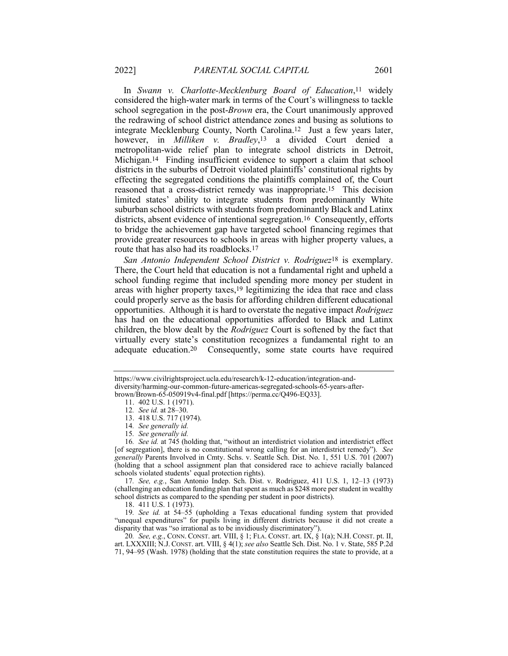In *Swann v. Charlotte-Mecklenburg Board of Education*,11 widely considered the high-water mark in terms of the Court's willingness to tackle school segregation in the post-*Brown* era, the Court unanimously approved the redrawing of school district attendance zones and busing as solutions to integrate Mecklenburg County, North Carolina.12 Just a few years later, however, in *Milliken v. Bradley*,13 a divided Court denied a metropolitan-wide relief plan to integrate school districts in Detroit, Michigan.14 Finding insufficient evidence to support a claim that school districts in the suburbs of Detroit violated plaintiffs' constitutional rights by effecting the segregated conditions the plaintiffs complained of, the Court reasoned that a cross-district remedy was inappropriate.15 This decision limited states' ability to integrate students from predominantly White suburban school districts with students from predominantly Black and Latinx districts, absent evidence of intentional segregation.16 Consequently, efforts to bridge the achievement gap have targeted school financing regimes that provide greater resources to schools in areas with higher property values, a route that has also had its roadblocks.17

*San Antonio Independent School District v. Rodriguez*18 is exemplary. There, the Court held that education is not a fundamental right and upheld a school funding regime that included spending more money per student in areas with higher property taxes,19 legitimizing the idea that race and class could properly serve as the basis for affording children different educational opportunities. Although it is hard to overstate the negative impact *Rodriguez* has had on the educational opportunities afforded to Black and Latinx children, the blow dealt by the *Rodriguez* Court is softened by the fact that virtually every state's constitution recognizes a fundamental right to an adequate education.20 Consequently, some state courts have required

16*. See id.* at 745 (holding that, "without an interdistrict violation and interdistrict effect [of segregation], there is no constitutional wrong calling for an interdistrict remedy"). *See generally* Parents Involved in Cmty. Schs. v. Seattle Sch. Dist. No. 1, 551 U.S. 701 (2007) (holding that a school assignment plan that considered race to achieve racially balanced schools violated students' equal protection rights).

17*. See, e.g.*, San Antonio Indep. Sch. Dist. v. Rodriguez, 411 U.S. 1, 12–13 (1973) (challenging an education funding plan that spent as much as \$248 more per student in wealthy school districts as compared to the spending per student in poor districts).

18. 411 U.S. 1 (1973).

19*. See id.* at 54–55 (upholding a Texas educational funding system that provided "unequal expenditures" for pupils living in different districts because it did not create a disparity that was "so irrational as to be invidiously discriminatory").

20*. See, e.g.*, CONN. CONST. art. VIII, § 1; FLA. CONST. art. IX, § 1(a); N.H. CONST. pt. II, art. LXXXIII; N.J. CONST. art. VIII, § 4(1); *see also* Seattle Sch. Dist. No. 1 v. State, 585 P.2d 71, 94–95 (Wash. 1978) (holding that the state constitution requires the state to provide, at a

https://www.civilrightsproject.ucla.edu/research/k-12-education/integration-anddiversity/harming-our-common-future-americas-segregated-schools-65-years-afterbrown/Brown-65-050919v4-final.pdf [https://perma.cc/Q496-EQ33].

<sup>11.</sup> 402 U.S. 1 (1971).

<sup>12</sup>*. See id.* at 28–30.

<sup>13.</sup> 418 U.S. 717 (1974).

<sup>14</sup>*. See generally id.*

<sup>15</sup>*. See generally id.*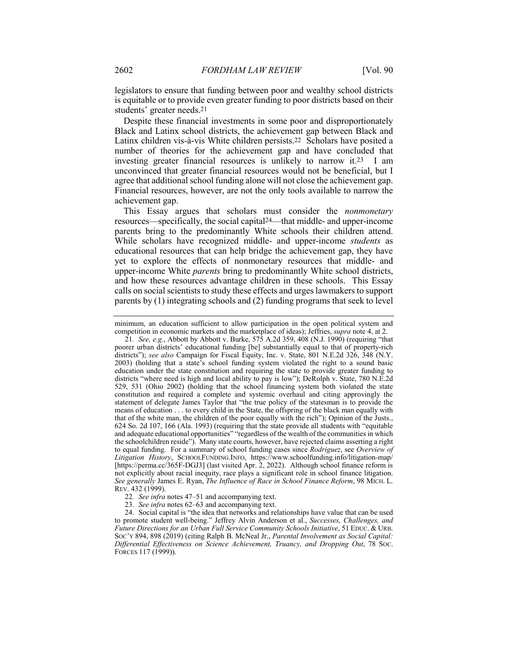legislators to ensure that funding between poor and wealthy school districts is equitable or to provide even greater funding to poor districts based on their students' greater needs.21

Despite these financial investments in some poor and disproportionately Black and Latinx school districts, the achievement gap between Black and Latinx children vis-à-vis White children persists.22 Scholars have posited a number of theories for the achievement gap and have concluded that investing greater financial resources is unlikely to narrow it.23 I am unconvinced that greater financial resources would not be beneficial, but I agree that additional school funding alone will not close the achievement gap. Financial resources, however, are not the only tools available to narrow the achievement gap.

This Essay argues that scholars must consider the *nonmonetary* resources—specifically, the social capital24—that middle- and upper-income parents bring to the predominantly White schools their children attend. While scholars have recognized middle- and upper-income *students* as educational resources that can help bridge the achievement gap, they have yet to explore the effects of nonmonetary resources that middle- and upper-income White *parents* bring to predominantly White school districts, and how these resources advantage children in these schools. This Essay calls on social scientists to study these effects and urges lawmakers to support parents by (1) integrating schools and (2) funding programs that seek to level

minimum, an education sufficient to allow participation in the open political system and competition in economic markets and the marketplace of ideas); Jeffries, *supra* note 4, at 2.

<sup>21</sup>*. See, e.g.*, Abbott by Abbott v. Burke, 575 A.2d 359, 408 (N.J. 1990) (requiring "that poorer urban districts' educational funding [be] substantially equal to that of property-rich districts"); *see also* Campaign for Fiscal Equity, Inc. v. State, 801 N.E.2d 326, 348 (N.Y. 2003) (holding that a state's school funding system violated the right to a sound basic education under the state constitution and requiring the state to provide greater funding to districts "where need is high and local ability to pay is low"); DeRolph v. State, 780 N.E.2d 529, 531 (Ohio 2002) (holding that the school financing system both violated the state constitution and required a complete and systemic overhaul and citing approvingly the statement of delegate James Taylor that "the true policy of the statesman is to provide the means of education . . . to every child in the State, the offspring of the black man equally with that of the white man, the children of the poor equally with the rich"); Opinion of the Justs., 624 So. 2d 107, 166 (Ala. 1993) (requiring that the state provide all students with "equitable and adequate educational opportunities" "regardless of the wealth of the communities in which the schoolchildren reside"). Many state courts, however, have rejected claims asserting a right to equal funding. For a summary of school funding cases since *Rodriguez*, see *Overview of Litigation History*, SCHOOLFUNDING.INFO, https://www.schoolfunding.info/litigation-map/ [https://perma.cc/365F-DGJ3] (last visited Apr. 2, 2022). Although school finance reform is not explicitly about racial inequity, race plays a significant role in school finance litigation. *See generally* James E. Ryan, *The Influence of Race in School Finance Reform*, 98 MICH. L. REV. 432 (1999).

<sup>22</sup>*. See infra* notes 47–51 and accompanying text.

<sup>23</sup>*. See infra* notes 62–63 and accompanying text.

<sup>24.</sup> Social capital is "the idea that networks and relationships have value that can be used to promote student well-being." Jeffrey Alvin Anderson et al., *Successes, Challenges, and Future Directions for an Urban Full Service Community Schools Initiative*, 51 EDUC. & URB. SOC'Y 894, 898 (2019) (citing Ralph B. McNeal Jr., *Parental Involvement as Social Capital: Differential Effectiveness on Science Achievement, Truancy, and Dropping Out*, 78 SOC. FORCES 117 (1999)).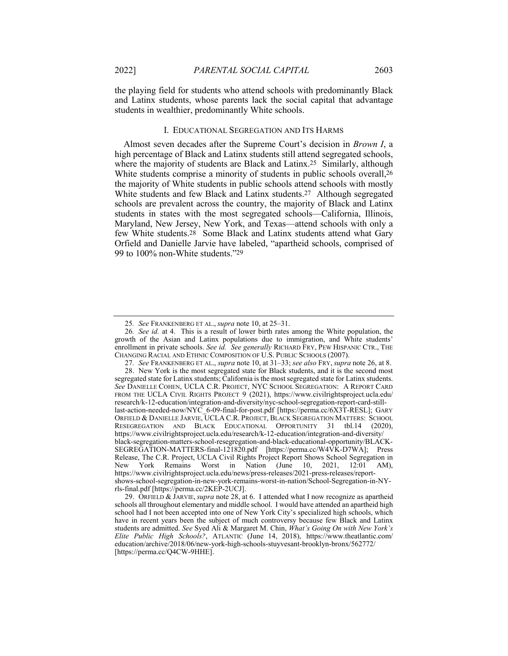the playing field for students who attend schools with predominantly Black and Latinx students, whose parents lack the social capital that advantage students in wealthier, predominantly White schools.

## I. EDUCATIONAL SEGREGATION AND ITS HARMS

Almost seven decades after the Supreme Court's decision in *Brown I*, a high percentage of Black and Latinx students still attend segregated schools, where the majority of students are Black and Latinx.<sup>25</sup> Similarly, although White students comprise a minority of students in public schools overall,  $26$ the majority of White students in public schools attend schools with mostly White students and few Black and Latinx students.27 Although segregated schools are prevalent across the country, the majority of Black and Latinx students in states with the most segregated schools—California, Illinois, Maryland, New Jersey, New York, and Texas—attend schools with only a few White students.<sup>28</sup> Some Black and Latinx students attend what Gary Orfield and Danielle Jarvie have labeled, "apartheid schools, comprised of 99 to 100% non-White students."29

<sup>25</sup>*. See* FRANKENBERG ET AL., *supra* note 10, at 25–31.

<sup>26</sup>*. See id.* at 4. This is a result of lower birth rates among the White population, the growth of the Asian and Latinx populations due to immigration, and White students' enrollment in private schools. *See id. See generally* RICHARD FRY, PEW HISPANIC CTR., THE CHANGING RACIAL AND ETHNIC COMPOSITION OF U.S. PUBLIC SCHOOLS (2007).

<sup>27</sup>*. See* FRANKENBERG ET AL., *supra* note 10, at 31–33; *see also* FRY, *supra* note 26, at 8. 28. New York is the most segregated state for Black students, and it is the second most segregated state for Latinx students; California is the most segregated state for Latinx students. *See* DANIELLE COHEN, UCLA C.R. PROJECT, NYC SCHOOL SEGREGATION: A REPORT CARD FROM THE UCLA CIVIL RIGHTS PROJECT 9 (2021), https://www.civilrightsproject.ucla.edu/ research/k-12-education/integration-and-diversity/nyc-school-segregation-report-card-stilllast-action-needed-now/NYC\_6-09-final-for-post.pdf [https://perma.cc/6X3T-RESL]; GARY ORFIELD & DANIELLE JARVIE, UCLA C.R. PROJECT, BLACK SEGREGATION MATTERS: SCHOOL RESEGREGATION AND BLACK EDUCATIONAL OPPORTUNITY 31 tbl.14 (2020), https://www.civilrightsproject.ucla.edu/research/k-12-education/integration-and-diversity/ black-segregation-matters-school-resegregation-and-black-educational-opportunity/BLACK-SEGREGATION-MATTERS-final-121820.pdf [https://perma.cc/W4VK-D7WA]; Press Release, The C.R. Project, UCLA Civil Rights Project Report Shows School Segregation in New York Remains Worst in Nation (June 10, 2021, 12:01 AM), https://www.civilrightsproject.ucla.edu/news/press-releases/2021-press-releases/reportshows-school-segregation-in-new-york-remains-worst-in-nation/School-Segregation-in-NYrls-final.pdf [https://perma.cc/2KEP-2UCJ].

<sup>29.</sup> ORFIELD & JARVIE, *supra* note 28, at 6. I attended what I now recognize as apartheid schools all throughout elementary and middle school. I would have attended an apartheid high school had I not been accepted into one of New York City's specialized high schools, which have in recent years been the subject of much controversy because few Black and Latinx students are admitted. *See* Syed Ali & Margaret M. Chin, *What's Going On with New York's Elite Public High Schools?*, ATLANTIC (June 14, 2018), https://www.theatlantic.com/ education/archive/2018/06/new-york-high-schools-stuyvesant-brooklyn-bronx/562772/ [https://perma.cc/Q4CW-9HHE].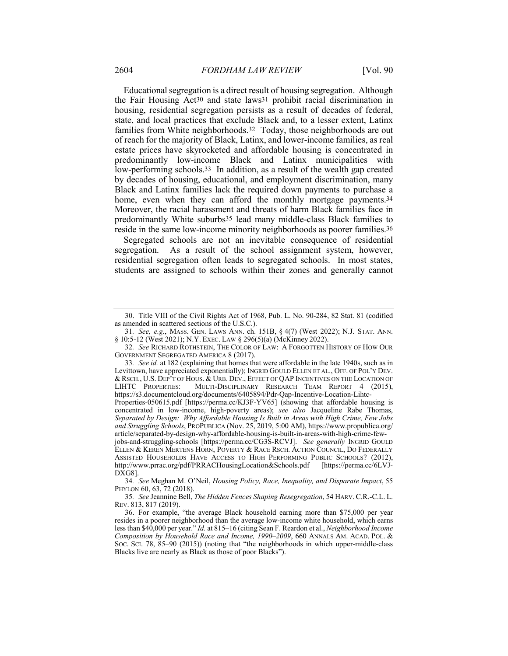Educational segregation is a direct result of housing segregation. Although the Fair Housing Act30 and state laws31 prohibit racial discrimination in housing, residential segregation persists as a result of decades of federal, state, and local practices that exclude Black and, to a lesser extent, Latinx families from White neighborhoods.32 Today, those neighborhoods are out of reach for the majority of Black, Latinx, and lower-income families, as real estate prices have skyrocketed and affordable housing is concentrated in predominantly low-income Black and Latinx municipalities with low-performing schools.33 In addition, as a result of the wealth gap created by decades of housing, educational, and employment discrimination, many Black and Latinx families lack the required down payments to purchase a home, even when they can afford the monthly mortgage payments.<sup>34</sup> Moreover, the racial harassment and threats of harm Black families face in predominantly White suburbs35 lead many middle-class Black families to reside in the same low-income minority neighborhoods as poorer families.36

Segregated schools are not an inevitable consequence of residential segregation. As a result of the school assignment system, however, residential segregation often leads to segregated schools. In most states, students are assigned to schools within their zones and generally cannot

<sup>30.</sup> Title VIII of the Civil Rights Act of 1968, Pub. L. No. 90-284, 82 Stat. 81 (codified as amended in scattered sections of the U.S.C.).

<sup>31</sup>*. See, e.g.*, MASS. GEN. LAWS ANN. ch. 151B, § 4(7) (West 2022); N.J. STAT. ANN. § 10:5-12 (West 2021); N.Y. EXEC. LAW § 296(5)(a) (McKinney 2022).

<sup>32</sup>*. See* RICHARD ROTHSTEIN, THE COLOR OF LAW: A FORGOTTEN HISTORY OF HOW OUR GOVERNMENT SEGREGATED AMERICA 8 (2017).

<sup>33</sup>*. See id.* at 182 (explaining that homes that were affordable in the late 1940s, such as in Levittown, have appreciated exponentially); INGRID GOULD ELLEN ET AL., OFF. OF POL'Y DEV. & RSCH., U.S. DEP'T OF HOUS. & URB. DEV., EFFECT OF QAP INCENTIVES ON THE LOCATION OF LIHTC PROPERTIES: MULTI-DISCIPLINARY RESEARCH TEAM REPORT 4 (2015), MULTI-DISCIPLINARY RESEARCH TEAM REPORT 4 (2015), https://s3.documentcloud.org/documents/6405894/Pdr-Qap-Incentive-Location-Lihtc-Properties-050615.pdf [https://perma.cc/KJ3F-YV65] (showing that affordable housing is

concentrated in low-income, high-poverty areas); *see also* Jacqueline Rabe Thomas, *Separated by Design: Why Affordable Housing Is Built in Areas with High Crime, Few Jobs and Struggling Schools*, PROPUBLICA (Nov. 25, 2019, 5:00 AM), https://www.propublica.org/ article/separated-by-design-why-affordable-housing-is-built-in-areas-with-high-crime-few-

jobs-and-struggling-schools [https://perma.cc/CG3S-RCVJ]. *See generally* INGRID GOULD ELLEN & KEREN MERTENS HORN, POVERTY & RACE RSCH. ACTION COUNCIL, DO FEDERALLY ASSISTED HOUSEHOLDS HAVE ACCESS TO HIGH PERFORMING PUBLIC SCHOOLS? (2012), http://www.prrac.org/pdf/PRRACHousingLocation&Schools.pdf [https://perma.cc/6LVJ-DXG8].

<sup>34</sup>*. See* Meghan M. O'Neil, *Housing Policy, Race, Inequality, and Disparate Impact*, 55 PHYLON 60, 63, 72 (2018).

<sup>35</sup>*. See* Jeannine Bell, *The Hidden Fences Shaping Resegregation*, 54 HARV. C.R.-C.L. L. REV. 813, 817 (2019).

<sup>36.</sup> For example, "the average Black household earning more than \$75,000 per year resides in a poorer neighborhood than the average low-income white household, which earns less than \$40,000 per year." *Id.* at 815–16 (citing Sean F. Reardon et al., *Neighborhood Income Composition by Household Race and Income, 1990–2009*, 660 ANNALS AM. ACAD. POL. & SOC. SCI. 78, 85–90 (2015)) (noting that "the neighborhoods in which upper-middle-class Blacks live are nearly as Black as those of poor Blacks").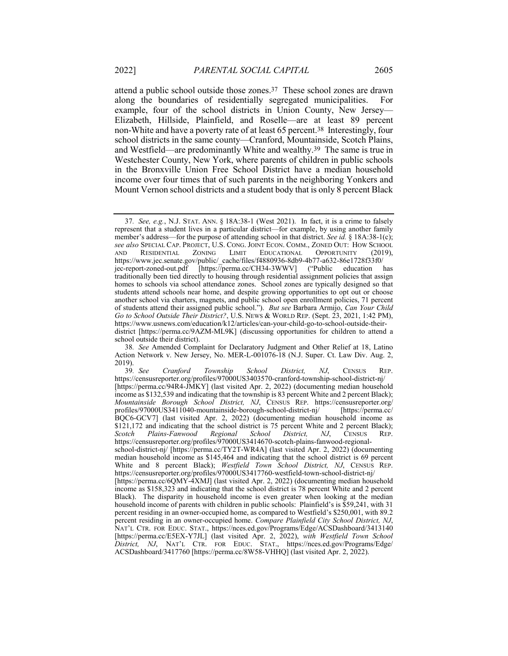attend a public school outside those zones.37 These school zones are drawn along the boundaries of residentially segregated municipalities. For example, four of the school districts in Union County, New Jersey— Elizabeth, Hillside, Plainfield, and Roselle—are at least 89 percent non-White and have a poverty rate of at least 65 percent.38 Interestingly, four school districts in the same county—Cranford, Mountainside, Scotch Plains, and Westfield—are predominantly White and wealthy.39 The same is true in Westchester County, New York, where parents of children in public schools in the Bronxville Union Free School District have a median household income over four times that of such parents in the neighboring Yonkers and Mount Vernon school districts and a student body that is only 8 percent Black

<sup>37</sup>*. See, e.g.*, N.J. STAT. ANN. § 18A:38-1 (West 2021). In fact, it is a crime to falsely represent that a student lives in a particular district—for example, by using another family member's address—for the purpose of attending school in that district. *See id.* § 18A:38-1(c); *see also* SPECIAL CAP. PROJECT, U.S. CONG. JOINT ECON. COMM., ZONED OUT: HOW SCHOOL AND RESIDENTIAL ZONING LIMIT EDUCATIONAL OPPORTUNITY (2019), https://www.jec.senate.gov/public/\_cache/files/f4880936-8db9-4b77-a632-86e1728f33f0/ jec-report-zoned-out.pdf [https://perma.cc/CH34-3WWV] ("Public education has traditionally been tied directly to housing through residential assignment policies that assign homes to schools via school attendance zones. School zones are typically designed so that students attend schools near home, and despite growing opportunities to opt out or choose another school via charters, magnets, and public school open enrollment policies, 71 percent of students attend their assigned public school."). *But see* Barbara Armijo, *Can Your Child Go to School Outside Their District?*, U.S. NEWS & WORLD REP. (Sept. 23, 2021, 1:42 PM), https://www.usnews.com/education/k12/articles/can-your-child-go-to-school-outside-theirdistrict [https://perma.cc/9AZM-ML9K] (discussing opportunities for children to attend a school outside their district).

<sup>38</sup>*. See* Amended Complaint for Declaratory Judgment and Other Relief at 18, Latino Action Network v. New Jersey, No. MER-L-001076-18 (N.J. Super. Ct. Law Div. Aug. 2, 2019).

<sup>39</sup>*. See Cranford Township School District, NJ*, CENSUS REP. https://censusreporter.org/profiles/97000US3403570-cranford-township-school-district-nj/ [https://perma.cc/94R4-JMKY] (last visited Apr. 2, 2022) (documenting median household income as \$132,539 and indicating that the township is 83 percent White and 2 percent Black); *Mountainside Borough School District, NJ*, CENSUS REP. https://censusreporter.org/ profiles/97000US3411040-mountainside-borough-school-district-nj/ [https://perma.cc/ BQC6-GCV7] (last visited Apr. 2, 2022) (documenting median household income as \$121,172 and indicating that the school district is 75 percent White and 2 percent Black);<br>Scotch Plains-Fanwood Regional School District, NJ, CENSUS REP. *Scotch Plains-Fanwood Regional School District, NJ*, CENSUS REP. https://censusreporter.org/profiles/97000US3414670-scotch-plains-fanwood-regionalschool-district-nj/ [https://perma.cc/TY2T-WR4A] (last visited Apr. 2, 2022) (documenting median household income as \$145,464 and indicating that the school district is 69 percent White and 8 percent Black); *Westfield Town School District, NJ*, CENSUS REP.

https://censusreporter.org/profiles/97000US3417760-westfield-town-school-district-nj/ [https://perma.cc/6QMY-4XMJ] (last visited Apr. 2, 2022) (documenting median household income as \$158,323 and indicating that the school district is 78 percent White and 2 percent Black). The disparity in household income is even greater when looking at the median household income of parents with children in public schools: Plainfield's is \$59,241, with 31 percent residing in an owner-occupied home, as compared to Westfield's \$250,001, with 89.2 percent residing in an owner-occupied home. *Compare Plainfield City School District, NJ*, NAT'L CTR. FOR EDUC. STAT., https://nces.ed.gov/Programs/Edge/ACSDashboard/3413140 [https://perma.cc/E5EX-Y7JL] (last visited Apr. 2, 2022), *with Westfield Town School District, NJ*, NAT'L CTR. FOR EDUC. STAT., https://nces.ed.gov/Programs/Edge/ ACSDashboard/3417760 [https://perma.cc/8W58-VHHQ] (last visited Apr. 2, 2022).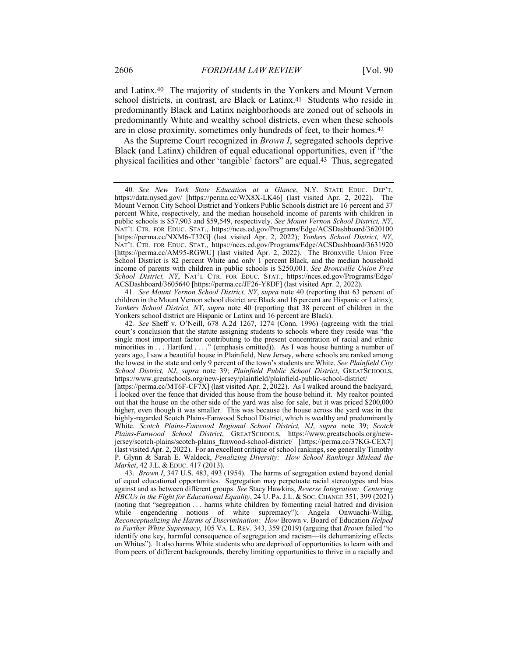and Latinx.40 The majority of students in the Yonkers and Mount Vernon school districts, in contrast, are Black or Latinx.41 Students who reside in predominantly Black and Latinx neighborhoods are zoned out of schools in predominantly White and wealthy school districts, even when these schools are in close proximity, sometimes only hundreds of feet, to their homes.42

As the Supreme Court recognized in *Brown I*, segregated schools deprive Black (and Latinx) children of equal educational opportunities, even if "the physical facilities and other 'tangible' factors" are equal.43 Thus, segregated

41*. See Mount Vernon School District, NY*, *supra* note 40 (reporting that 63 percent of children in the Mount Vernon school district are Black and 16 percent are Hispanic or Latinx); *Yonkers School District, NY*, *supra* note 40 (reporting that 38 percent of children in the Yonkers school district are Hispanic or Latinx and 16 percent are Black).

43. *Brown I*, 347 U.S. 483, 493 (1954). The harms of segregation extend beyond denial of equal educational opportunities. Segregation may perpetuate racial stereotypes and bias against and as between different groups. *See* Stacy Hawkins, *Reverse Integration: Centering HBCUs in the Fight for Educational Equality*, 24 U. PA.J.L. & SOC. CHANGE 351, 399 (2021) (noting that "segregation . . . harms white children by fomenting racial hatred and division while engendering notions of white supremacy"); Angela Onwuachi-Willig, *Reconceptualizing the Harms of Discrimination: How* Brown v. Board of Education *Helped to Further White Supremacy*, 105 VA. L. REV. 343, 359 (2019) (arguing that *Brown* failed "to identify one key, harmful consequence of segregation and racism—its dehumanizing effects on Whites"). It also harms White students who are deprived of opportunities to learn with and from peers of different backgrounds, thereby limiting opportunities to thrive in a racially and

<sup>40</sup>*. See New York State Education at a Glance*, N.Y. STATE EDUC. DEP'T, https://data.nysed.gov/ [https://perma.cc/WX8X-LK46] (last visited Apr. 2, 2022). The Mount Vernon City School District and Yonkers Public Schools district are 16 percent and 37 percent White, respectively, and the median household income of parents with children in public schools is \$57,903 and \$59,549, respectively. *See Mount Vernon School District, NY*, NAT'L CTR. FOR EDUC. STAT., https://nces.ed.gov/Programs/Edge/ACSDashboard/3620100 [https://perma.cc/NXM6-T32G] (last visited Apr. 2, 2022); *Yonkers School District, NY*, NAT'L CTR. FOR EDUC. STAT., https://nces.ed.gov/Programs/Edge/ACSDashboard/3631920 [https://perma.cc/AM95-RGWU] (last visited Apr. 2, 2022). The Bronxville Union Free School District is 82 percent White and only 1 percent Black, and the median household income of parents with children in public schools is \$250,001. *See Bronxville Union Free School District, NY*, NAT'L CTR. FOR EDUC. STAT., https://nces.ed.gov/Programs/Edge/ ACSDashboard/3605640 [https://perma.cc/JF26-Y8DF] (last visited Apr. 2, 2022).

<sup>42</sup>*. See* Sheff v. O'Neill, 678 A.2d 1267, 1274 (Conn. 1996) (agreeing with the trial court's conclusion that the statute assigning students to schools where they reside was "the single most important factor contributing to the present concentration of racial and ethnic minorities in . . . Hartford . . . ." (emphasis omitted)). As I was house hunting a number of years ago, I saw a beautiful house in Plainfield, New Jersey, where schools are ranked among the lowest in the state and only 9 percent of the town's students are White. *See Plainfield City School District, NJ*, *supra* note 39; *Plainfield Public School District*, GREATSCHOOLS, https://www.greatschools.org/new-jersey/plainfield/plainfield-public-school-district/

<sup>[</sup>https://perma.cc/MT6F-CF7X] (last visited Apr. 2, 2022). As I walked around the backyard, I looked over the fence that divided this house from the house behind it. My realtor pointed out that the house on the other side of the yard was also for sale, but it was priced \$200,000 higher, even though it was smaller. This was because the house across the yard was in the highly-regarded Scotch Plains-Fanwood School District, which is wealthy and predominantly White. *Scotch Plains-Fanwood Regional School District, NJ*, *supra* note 39; *Scotch Plains-Fanwood School District*, GREATSCHOOLS, https://www.greatschools.org/newjersey/scotch-plains/scotch-plains\_fanwood-school-district/ [https://perma.cc/37KG-CEX7] (last visited Apr. 2, 2022). For an excellent critique of school rankings, see generally Timothy P. Glynn & Sarah E. Waldeck, *Penalizing Diversity: How School Rankings Mislead the Market*, 42 J.L. & EDUC. 417 (2013).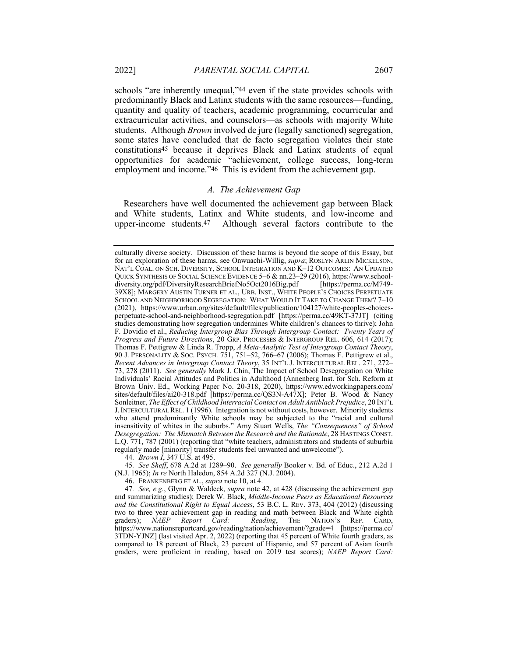schools "are inherently unequal,"44 even if the state provides schools with predominantly Black and Latinx students with the same resources—funding, quantity and quality of teachers, academic programming, cocurricular and extracurricular activities, and counselors—as schools with majority White students. Although *Brown* involved de jure (legally sanctioned) segregation, some states have concluded that de facto segregation violates their state constitutions45 because it deprives Black and Latinx students of equal opportunities for academic "achievement, college success, long-term

## *A. The Achievement Gap*

employment and income."46 This is evident from the achievement gap.

Researchers have well documented the achievement gap between Black and White students, Latinx and White students, and low-income and upper-income students.47 Although several factors contribute to the

44*. Brown I*, 347 U.S. at 495.

46. FRANKENBERG ET AL., *supra* note 10, at 4.

culturally diverse society. Discussion of these harms is beyond the scope of this Essay, but for an exploration of these harms, see Onwuachi-Willig, *supra*; ROSLYN ARLIN MICKELSON, NAT'L COAL. ON SCH. DIVERSITY, SCHOOL INTEGRATION AND K–12 OUTCOMES: AN UPDATED QUICK SYNTHESIS OF SOCIAL SCIENCE EVIDENCE 5–6 & nn.23–29 (2016), https://www.schooldiversity.org/pdf/DiversityResearchBriefNo5Oct2016Big.pdf [https://perma.cc/M749- 39X8]; MARGERY AUSTIN TURNER ET AL., URB. INST., WHITE PEOPLE'S CHOICES PERPETUATE SCHOOL AND NEIGHBORHOOD SEGREGATION: WHAT WOULD IT TAKE TO CHANGE THEM? 7–10 (2021), https://www.urban.org/sites/default/files/publication/104127/white-peoples-choicesperpetuate-school-and-neighborhood-segregation.pdf [https://perma.cc/49KT-37JT] (citing studies demonstrating how segregation undermines White children's chances to thrive); John F. Dovidio et al., *Reducing Intergroup Bias Through Intergroup Contact: Twenty Years of Progress and Future Directions*, 20 GRP. PROCESSES & INTERGROUP REL. 606, 614 (2017); Thomas F. Pettigrew & Linda R. Tropp, *A Meta-Analytic Test of Intergroup Contact Theory*, 90 J. PERSONALITY & SOC. PSYCH. 751, 751–52, 766–67 (2006); Thomas F. Pettigrew et al., *Recent Advances in Intergroup Contact Theory*, 35 INT'L J. INTERCULTURAL REL. 271, 272– 73, 278 (2011). *See generally* Mark J. Chin, The Impact of School Desegregation on White Individuals' Racial Attitudes and Politics in Adulthood (Annenberg Inst. for Sch. Reform at Brown Univ. Ed., Working Paper No. 20-318, 2020), https://www.edworkingpapers.com/ sites/default/files/ai20-318.pdf [https://perma.cc/QS3N-A47X]; Peter B. Wood & Nancy Sonleitner, *The Effect of Childhood Interracial Contact on Adult Antiblack Prejudice*, 20 INT'L J.INTERCULTURAL REL. 1 (1996). Integration is not without costs, however. Minority students who attend predominantly White schools may be subjected to the "racial and cultural insensitivity of whites in the suburbs." Amy Stuart Wells, *The "Consequences" of School Desegregation: The Mismatch Between the Research and the Rationale*, 28 HASTINGS CONST. L.Q. 771, 787 (2001) (reporting that "white teachers, administrators and students of suburbia regularly made [minority] transfer students feel unwanted and unwelcome").

<sup>45</sup>*. See Sheff*, 678 A.2d at 1289–90. *See generally* Booker v. Bd. of Educ., 212 A.2d 1 (N.J. 1965); *In re* North Haledon, 854 A.2d 327 (N.J. 2004).

<sup>47</sup>*. See, e.g.*, Glynn & Waldeck, *supra* note 42, at 428 (discussing the achievement gap and summarizing studies); Derek W. Black, *Middle-Income Peers as Educational Resources and the Constitutional Right to Equal Access*, 53 B.C. L. REV. 373, 404 (2012) (discussing two to three year achievement gap in reading and math between Black and White eighth graders); *NAEP Report Card: Reading*, THE NATION'S REP. CARD, https://www.nationsreportcard.gov/reading/nation/achievement/?grade=4 [https://perma.cc/ 3TDN-YJNZ] (last visited Apr. 2, 2022) (reporting that 45 percent of White fourth graders, as compared to 18 percent of Black, 23 percent of Hispanic, and 57 percent of Asian fourth graders, were proficient in reading, based on 2019 test scores); *NAEP Report Card:*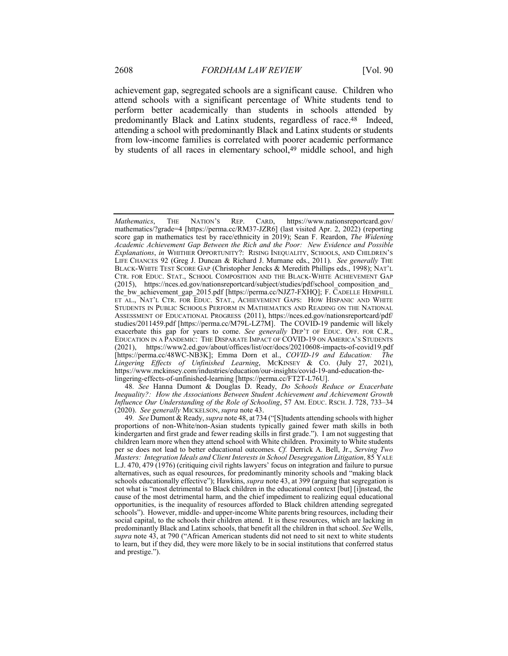achievement gap, segregated schools are a significant cause. Children who attend schools with a significant percentage of White students tend to perform better academically than students in schools attended by predominantly Black and Latinx students, regardless of race.48 Indeed, attending a school with predominantly Black and Latinx students or students from low-income families is correlated with poorer academic performance by students of all races in elementary school,<sup>49</sup> middle school, and high

48*. See* Hanna Dumont & Douglas D. Ready, *Do Schools Reduce or Exacerbate Inequality?: How the Associations Between Student Achievement and Achievement Growth Influence Our Understanding of the Role of Schooling*, 57 AM. EDUC. RSCH. J. 728, 733–34 (2020). *See generally* MICKELSON, *supra* note 43.

*Mathematics*, THE NATION'S REP. CARD, https://www.nationsreportcard.gov/ mathematics/?grade=4 [https://perma.cc/RM37-JZR6] (last visited Apr. 2, 2022) (reporting score gap in mathematics test by race/ethnicity in 2019); Sean F. Reardon, *The Widening Academic Achievement Gap Between the Rich and the Poor: New Evidence and Possible Explanations*, *in* WHITHER OPPORTUNITY?: RISING INEQUALITY, SCHOOLS, AND CHILDREN'S LIFE CHANCES 92 (Greg J. Duncan & Richard J. Murnane eds., 2011). *See generally* THE BLACK-WHITE TEST SCORE GAP (Christopher Jencks & Meredith Phillips eds., 1998); NAT'L CTR. FOR EDUC. STAT., SCHOOL COMPOSITION AND THE BLACK-WHITE ACHIEVEMENT GAP (2015), https://nces.ed.gov/nationsreportcard/subject/studies/pdf/school\_composition\_and\_ the bw achievement gap 2015.pdf [https://perma.cc/NJZ7-FXHQ]; F. CADELLE HEMPHILL ET AL., NAT'L CTR. FOR EDUC. STAT., ACHIEVEMENT GAPS: HOW HISPANIC AND WHITE STUDENTS IN PUBLIC SCHOOLS PERFORM IN MATHEMATICS AND READING ON THE NATIONAL ASSESSMENT OF EDUCATIONAL PROGRESS (2011), https://nces.ed.gov/nationsreportcard/pdf/ studies/2011459.pdf [https://perma.cc/M79L-LZ7M]. The COVID-19 pandemic will likely exacerbate this gap for years to come. *See generally* DEP'T OF EDUC. OFF. FOR C.R., EDUCATION IN A PANDEMIC: THE DISPARATE IMPACT OF COVID-19 ON AMERICA'S STUDENTS (2021), https://www2.ed.gov/about/offices/list/ocr/docs/20210608-impacts-of-covid19.pdf [https://perma.cc/48WC-NB3K]; Emma Dorn et al., *COVID-19 and Education: The Lingering Effects of Unfinished Learning*, MCKINSEY & CO. (July 27, 2021), https://www.mckinsey.com/industries/education/our-insights/covid-19-and-education-thelingering-effects-of-unfinished-learning [https://perma.cc/FT2T-L76U].

<sup>49</sup>*. See* Dumont & Ready, *supra* note 48, at 734 ("[S]tudents attending schools with higher proportions of non-White/non-Asian students typically gained fewer math skills in both kindergarten and first grade and fewer reading skills in first grade."). I am not suggesting that children learn more when they attend school with White children. Proximity to White students per se does not lead to better educational outcomes. *Cf.* Derrick A. Bell, Jr., *Serving Two Masters: Integration Ideals and Client Interests in School Desegregation Litigation*, 85 YALE L.J. 470, 479 (1976) (critiquing civil rights lawyers' focus on integration and failure to pursue alternatives, such as equal resources, for predominantly minority schools and "making black schools educationally effective"); Hawkins, *supra* note 43, at 399 (arguing that segregation is not what is "most detrimental to Black children in the educational context [but] [i]nstead, the cause of the most detrimental harm, and the chief impediment to realizing equal educational opportunities, is the inequality of resources afforded to Black children attending segregated schools"). However, middle- and upper-income White parents bring resources, including their social capital, to the schools their children attend. It is these resources, which are lacking in predominantly Black and Latinx schools, that benefit all the children in that school. *See* Wells, *supra* note 43, at 790 ("African American students did not need to sit next to white students to learn, but if they did, they were more likely to be in social institutions that conferred status and prestige.").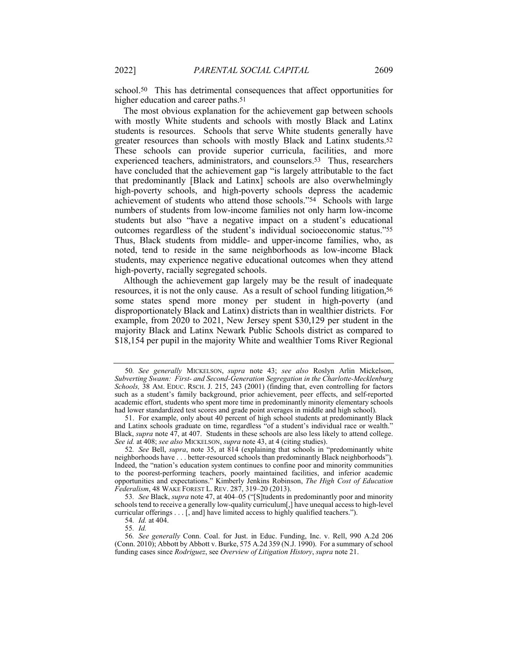school.50 This has detrimental consequences that affect opportunities for higher education and career paths.<sup>51</sup>

The most obvious explanation for the achievement gap between schools with mostly White students and schools with mostly Black and Latinx students is resources. Schools that serve White students generally have greater resources than schools with mostly Black and Latinx students.52 These schools can provide superior curricula, facilities, and more experienced teachers, administrators, and counselors.53 Thus, researchers have concluded that the achievement gap "is largely attributable to the fact that predominantly [Black and Latinx] schools are also overwhelmingly high-poverty schools, and high-poverty schools depress the academic achievement of students who attend those schools."54 Schools with large numbers of students from low-income families not only harm low-income students but also "have a negative impact on a student's educational outcomes regardless of the student's individual socioeconomic status."55 Thus, Black students from middle- and upper-income families, who, as noted, tend to reside in the same neighborhoods as low-income Black students, may experience negative educational outcomes when they attend high-poverty, racially segregated schools.

Although the achievement gap largely may be the result of inadequate resources, it is not the only cause. As a result of school funding litigation,<sup>56</sup> some states spend more money per student in high-poverty (and disproportionately Black and Latinx) districts than in wealthier districts. For example, from 2020 to 2021, New Jersey spent \$30,129 per student in the majority Black and Latinx Newark Public Schools district as compared to \$18,154 per pupil in the majority White and wealthier Toms River Regional

<sup>50</sup>*. See generally* MICKELSON, *supra* note 43; *see also* Roslyn Arlin Mickelson, *Subverting Swann: First- and Second-Generation Segregation in the Charlotte-Mecklenburg Schools,* 38 AM. EDUC. RSCH. J. 215, 243 (2001) (finding that, even controlling for factors such as a student's family background, prior achievement, peer effects, and self-reported academic effort, students who spent more time in predominantly minority elementary schools had lower standardized test scores and grade point averages in middle and high school).

<sup>51.</sup> For example, only about 40 percent of high school students at predominantly Black and Latinx schools graduate on time, regardless "of a student's individual race or wealth." Black, *supra* note 47, at 407. Students in these schools are also less likely to attend college. *See id.* at 408; *see also* MICKELSON, *supra* note 43, at 4 (citing studies).

<sup>52</sup>*. See* Bell, *supra*, note 35, at 814 (explaining that schools in "predominantly white neighborhoods have . . . better-resourced schools than predominantly Black neighborhoods"). Indeed, the "nation's education system continues to confine poor and minority communities to the poorest-performing teachers, poorly maintained facilities, and inferior academic opportunities and expectations." Kimberly Jenkins Robinson, *The High Cost of Education Federalism*, 48 WAKE FOREST L. REV. 287, 319–20 (2013).

<sup>53</sup>*. See* Black, *supra* note 47, at 404–05 ("[S]tudents in predominantly poor and minority schools tend to receive a generally low-quality curriculum[,] have unequal access to high-level curricular offerings . . . [, and] have limited access to highly qualified teachers.").

<sup>54</sup>*. Id.* at 404.

<sup>55</sup>*. Id.*

<sup>56</sup>*. See generally* Conn. Coal. for Just. in Educ. Funding, Inc. v. Rell, 990 A.2d 206 (Conn. 2010); Abbott by Abbott v. Burke, 575 A.2d 359 (N.J. 1990). For a summary of school funding cases since *Rodriguez*, see *Overview of Litigation History*, *supra* note 21.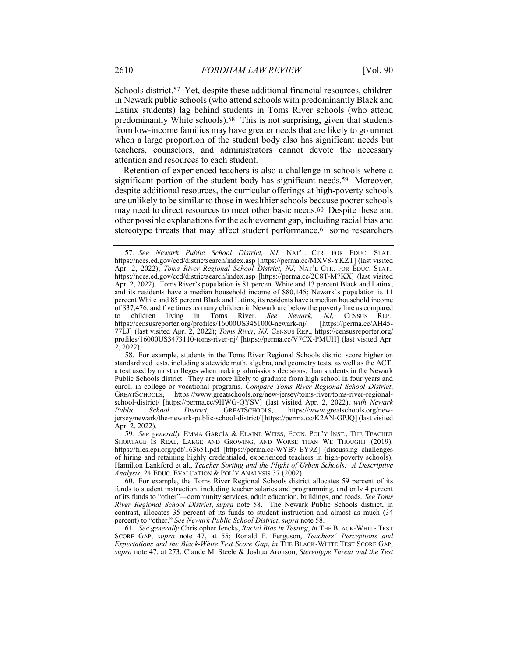Schools district.<sup>57</sup> Yet, despite these additional financial resources, children in Newark public schools (who attend schools with predominantly Black and Latinx students) lag behind students in Toms River schools (who attend predominantly White schools).58 This is not surprising, given that students from low-income families may have greater needs that are likely to go unmet when a large proportion of the student body also has significant needs but teachers, counselors, and administrators cannot devote the necessary attention and resources to each student.

Retention of experienced teachers is also a challenge in schools where a significant portion of the student body has significant needs.<sup>59</sup> Moreover, despite additional resources, the curricular offerings at high-poverty schools are unlikely to be similar to those in wealthier schools because poorer schools may need to direct resources to meet other basic needs.60 Despite these and other possible explanations for the achievement gap, including racial bias and stereotype threats that may affect student performance, <sup>61</sup> some researchers

60. For example, the Toms River Regional Schools district allocates 59 percent of its funds to student instruction, including teacher salaries and programming, and only 4 percent of its funds to "other"—community services, adult education, buildings, and roads. *See Toms River Regional School District*, *supra* note 58. The Newark Public Schools district, in contrast, allocates 35 percent of its funds to student instruction and almost as much (34 percent) to "other." *See Newark Public School District*, *supra* note 58.

61*. See generally* Christopher Jencks, *Racial Bias in Testing*, *in* THE BLACK-WHITE TEST SCORE GAP, *supra* note 47, at 55; Ronald F. Ferguson, *Teachers' Perceptions and Expectations and the Black-White Test Score Gap*, *in* THE BLACK-WHITE TEST SCORE GAP, *supra* note 47, at 273; Claude M. Steele & Joshua Aronson, *Stereotype Threat and the Test* 

<sup>57</sup>*. See Newark Public School District, NJ*, NAT'L CTR. FOR EDUC. STAT., https://nces.ed.gov/ccd/districtsearch/index.asp [https://perma.cc/MXV8-YKZT] (last visited Apr. 2, 2022); *Toms River Regional School District, NJ*, NAT'L CTR. FOR EDUC. STAT., https://nces.ed.gov/ccd/districtsearch/index.asp [https://perma.cc/2C8T-M7KX] (last visited Apr. 2, 2022). Toms River's population is 81 percent White and 13 percent Black and Latinx, and its residents have a median household income of \$80,145; Newark's population is 11 percent White and 85 percent Black and Latinx, its residents have a median household income of \$37,476, and five times as many children in Newark are below the poverty line as compared to children living in Toms River. See Newark, NJ, CENSUS REP., to children living in Toms River. *See Newark*, *NJ*, CENSUS REP., https://censusreporter.org/profiles/16000US3451000-newark-nj/ [https://perma.cc/AH45https://censusreporter.org/profiles/16000US3451000-newark-nj/ 77LJ] (last visited Apr. 2, 2022); *Toms River, NJ*, CENSUS REP., https://censusreporter.org/ profiles/16000US3473110-toms-river-nj/ [https://perma.cc/V7CX-PMUH] (last visited Apr. 2, 2022).

<sup>58.</sup> For example, students in the Toms River Regional Schools district score higher on standardized tests, including statewide math, algebra, and geometry tests, as well as the ACT, a test used by most colleges when making admissions decisions, than students in the Newark Public Schools district. They are more likely to graduate from high school in four years and enroll in college or vocational programs. *Compare Toms River Regional School District*, GREATSCHOOLS, https://www.greatschools.org/new-jersey/toms-river/toms-river-regionalschool-district/ [https://perma.cc/9HWG-QYSV] (last visited Apr. 2, 2022), *with Newark Public School District*, GREATSCHOOLS, https://www.greatschools.org/newjersey/newark/the-newark-public-school-district/ [https://perma.cc/K2AN-GPJQ] (last visited Apr. 2, 2022).

<sup>59</sup>*. See generally* EMMA GARCÍA & ELAINE WEISS, ECON. POL'Y INST., THE TEACHER SHORTAGE IS REAL, LARGE AND GROWING, AND WORSE THAN WE THOUGHT (2019), https://files.epi.org/pdf/163651.pdf [https://perma.cc/WYB7-EY9Z] (discussing challenges of hiring and retaining highly credentialed, experienced teachers in high-poverty schools); Hamilton Lankford et al., *Teacher Sorting and the Plight of Urban Schools: A Descriptive Analysis*, 24 EDUC. EVALUATION & POL'Y ANALYSIS 37 (2002).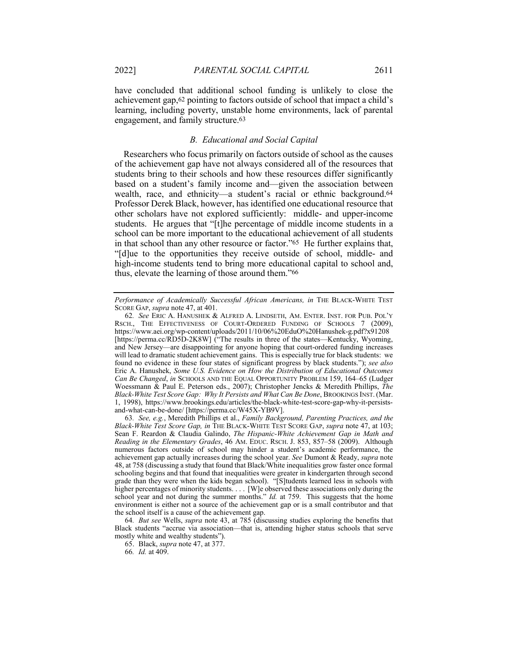have concluded that additional school funding is unlikely to close the achievement gap,62 pointing to factors outside of school that impact a child's learning, including poverty, unstable home environments, lack of parental engagement, and family structure.63

## *B. Educational and Social Capital*

Researchers who focus primarily on factors outside of school as the causes of the achievement gap have not always considered all of the resources that students bring to their schools and how these resources differ significantly based on a student's family income and—given the association between wealth, race, and ethnicity—a student's racial or ethnic background.64 Professor Derek Black, however, has identified one educational resource that other scholars have not explored sufficiently: middle- and upper-income students. He argues that "[t]he percentage of middle income students in a school can be more important to the educational achievement of all students in that school than any other resource or factor."65 He further explains that, "[d]ue to the opportunities they receive outside of school, middle- and high-income students tend to bring more educational capital to school and, thus, elevate the learning of those around them."66

*Performance of Academically Successful African Americans, in* THE BLACK-WHITE TEST SCORE GAP, *supra* note 47, at 401.

<sup>62</sup>*. See* ERIC A. HANUSHEK & ALFRED A. LINDSETH, AM. ENTER. INST. FOR PUB. POL'Y RSCH., THE EFFECTIVENESS OF COURT-ORDERED FUNDING OF SCHOOLS 7 (2009), https://www.aei.org/wp-content/uploads/2011/10/06%20EduO%20Hanushek-g.pdf?x91208 [https://perma.cc/RD5D-2K8W] ("The results in three of the states—Kentucky, Wyoming, and New Jersey—are disappointing for anyone hoping that court-ordered funding increases will lead to dramatic student achievement gains. This is especially true for black students: we found no evidence in these four states of significant progress by black students."); *see also* Eric A. Hanushek, *Some U.S. Evidence on How the Distribution of Educational Outcomes Can Be Changed*, *in* SCHOOLS AND THE EQUAL OPPORTUNITY PROBLEM 159, 164–65 (Ludger Woessmann & Paul E. Peterson eds., 2007); Christopher Jencks & Meredith Phillips, *The Black-White Test Score Gap: Why It Persists and What Can Be Done*, BROOKINGS INST. (Mar. 1, 1998), https://www.brookings.edu/articles/the-black-white-test-score-gap-why-it-persistsand-what-can-be-done/ [https://perma.cc/W45X-YB9V].

<sup>63</sup>*. See, e.g.*, Meredith Phillips et al., *Family Background, Parenting Practices, and the Black-White Test Score Gap, in* THE BLACK-WHITE TEST SCORE GAP, *supra* note 47, at 103; Sean F. Reardon & Claudia Galindo, *The Hispanic-White Achievement Gap in Math and Reading in the Elementary Grades*, 46 AM. EDUC. RSCH. J. 853, 857–58 (2009). Although numerous factors outside of school may hinder a student's academic performance, the achievement gap actually increases during the school year. *See* Dumont & Ready, *supra* note 48, at 758 (discussing a study that found that Black/White inequalities grow faster once formal schooling begins and that found that inequalities were greater in kindergarten through second grade than they were when the kids began school). "[S]tudents learned less in schools with higher percentages of minority students. . . . [W] e observed these associations only during the school year and not during the summer months." *Id.* at 759. This suggests that the home environment is either not a source of the achievement gap or is a small contributor and that the school itself is a cause of the achievement gap.

<sup>64</sup>*. But see* Wells, *supra* note 43, at 785 (discussing studies exploring the benefits that Black students "accrue via association—that is, attending higher status schools that serve mostly white and wealthy students").

<sup>65.</sup> Black, *supra* note 47, at 377.

<sup>66</sup>*. Id.* at 409.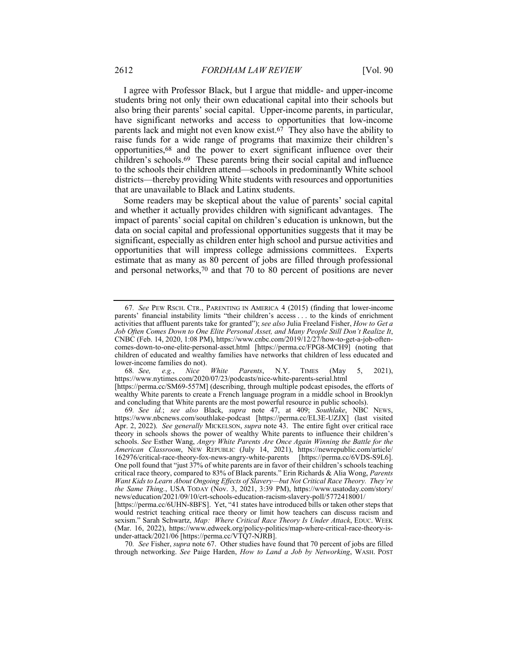I agree with Professor Black, but I argue that middle- and upper-income students bring not only their own educational capital into their schools but also bring their parents' social capital. Upper-income parents, in particular, have significant networks and access to opportunities that low-income parents lack and might not even know exist.67 They also have the ability to raise funds for a wide range of programs that maximize their children's opportunities,68 and the power to exert significant influence over their children's schools.69 These parents bring their social capital and influence to the schools their children attend—schools in predominantly White school districts—thereby providing White students with resources and opportunities that are unavailable to Black and Latinx students.

Some readers may be skeptical about the value of parents' social capital and whether it actually provides children with significant advantages. The impact of parents' social capital on children's education is unknown, but the data on social capital and professional opportunities suggests that it may be significant, especially as children enter high school and pursue activities and opportunities that will impress college admissions committees. Experts estimate that as many as 80 percent of jobs are filled through professional and personal networks,70 and that 70 to 80 percent of positions are never

68*. See, e.g.*, *Nice White Parents*, N.Y. TIMES (May 5, 2021), https://www.nytimes.com/2020/07/23/podcasts/nice-white-parents-serial.html

[https://perma.cc/SM69-557M] (describing, through multiple podcast episodes, the efforts of wealthy White parents to create a French language program in a middle school in Brooklyn and concluding that White parents are the most powerful resource in public schools).

69*. See id.*; *see also* Black, *supra* note 47, at 409; *Southlake*, NBC NEWS, https://www.nbcnews.com/southlake-podcast [https://perma.cc/EL3E-UZJX] (last visited Apr. 2, 2022). *See generally* MICKELSON, *supra* note 43. The entire fight over critical race theory in schools shows the power of wealthy White parents to influence their children's schools. *See* Esther Wang, *Angry White Parents Are Once Again Winning the Battle for the American Classroom*, NEW REPUBLIC (July 14, 2021), https://newrepublic.com/article/ 162976/critical-race-theory-fox-news-angry-white-parents [https://perma.cc/6VDS-S9L6]. One poll found that "just 37% of white parents are in favor of their children's schools teaching critical race theory, compared to 83% of Black parents." Erin Richards & Alia Wong, *Parents Want Kids to Learn About Ongoing Effects of Slavery—but Not Critical Race Theory. They're the Same Thing.*, USA TODAY (Nov. 3, 2021, 3:39 PM), https://www.usatoday.com/story/ news/education/2021/09/10/crt-schools-education-racism-slavery-poll/5772418001/

70*. See* Fisher, *supra* note 67. Other studies have found that 70 percent of jobs are filled through networking. *See* Paige Harden, *How to Land a Job by Networking*, WASH. POST

<sup>67</sup>*. See* PEW RSCH. CTR., PARENTING IN AMERICA 4 (2015) (finding that lower-income parents' financial instability limits "their children's access . . . to the kinds of enrichment activities that affluent parents take for granted"); *see also* Julia Freeland Fisher, *How to Get a Job Often Comes Down to One Elite Personal Asset, and Many People Still Don't Realize It*, CNBC (Feb. 14, 2020, 1:08 PM), https://www.cnbc.com/2019/12/27/how-to-get-a-job-oftencomes-down-to-one-elite-personal-asset.html [https://perma.cc/FPG8-MCH9] (noting that children of educated and wealthy families have networks that children of less educated and lower-income families do not).

<sup>[</sup>https://perma.cc/6UHN-8BFS]. Yet, "41 states have introduced bills or taken other steps that would restrict teaching critical race theory or limit how teachers can discuss racism and sexism." Sarah Schwartz, *Map: Where Critical Race Theory Is Under Attack*, EDUC. WEEK (Mar. 16, 2022), https://www.edweek.org/policy-politics/map-where-critical-race-theory-isunder-attack/2021/06 [https://perma.cc/VTQ7-NJRB].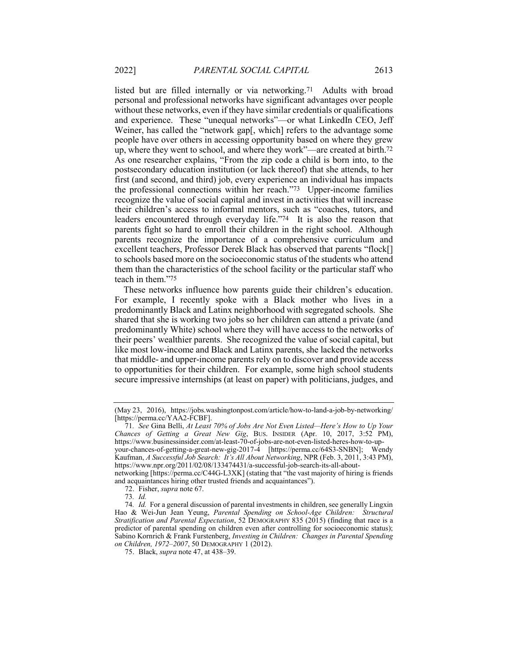listed but are filled internally or via networking.71 Adults with broad personal and professional networks have significant advantages over people without these networks, even if they have similar credentials or qualifications and experience. These "unequal networks"—or what LinkedIn CEO, Jeff Weiner, has called the "network gap[, which] refers to the advantage some people have over others in accessing opportunity based on where they grew up, where they went to school, and where they work"—are created at birth.72 As one researcher explains, "From the zip code a child is born into, to the postsecondary education institution (or lack thereof) that she attends, to her first (and second, and third) job, every experience an individual has impacts the professional connections within her reach."73 Upper-income families recognize the value of social capital and invest in activities that will increase their children's access to informal mentors, such as "coaches, tutors, and leaders encountered through everyday life."74 It is also the reason that parents fight so hard to enroll their children in the right school. Although parents recognize the importance of a comprehensive curriculum and excellent teachers, Professor Derek Black has observed that parents "flock[] to schools based more on the socioeconomic status of the students who attend them than the characteristics of the school facility or the particular staff who teach in them."75

These networks influence how parents guide their children's education. For example, I recently spoke with a Black mother who lives in a predominantly Black and Latinx neighborhood with segregated schools. She shared that she is working two jobs so her children can attend a private (and predominantly White) school where they will have access to the networks of their peers' wealthier parents. She recognized the value of social capital, but like most low-income and Black and Latinx parents, she lacked the networks that middle- and upper-income parents rely on to discover and provide access to opportunities for their children. For example, some high school students secure impressive internships (at least on paper) with politicians, judges, and

and acquaintances hiring other trusted friends and acquaintances").

<sup>(</sup>May 23, 2016), https://jobs.washingtonpost.com/article/how-to-land-a-job-by-networking/ [https://perma.cc/YAA2-FCBF].

<sup>71</sup>*. See* Gina Belli, *At Least 70% of Jobs Are Not Even Listed—Here's How to Up Your Chances of Getting a Great New Gig*, BUS. INSIDER (Apr. 10, 2017, 3:52 PM), https://www.businessinsider.com/at-least-70-of-jobs-are-not-even-listed-heres-how-to-upyour-chances-of-getting-a-great-new-gig-2017-4 [https://perma.cc/64S3-SNBN]; Wendy Kaufman, *A Successful Job Search: It's All About Networking*, NPR (Feb. 3, 2011, 3:43 PM), https://www.npr.org/2011/02/08/133474431/a-successful-job-search-its-all-aboutnetworking [https://perma.cc/C44G-L3XK] (stating that "the vast majority of hiring is friends

<sup>72.</sup> Fisher, *supra* note 67.

<sup>73</sup>*. Id.*

<sup>74</sup>*. Id.* For a general discussion of parental investments in children, see generally Lingxin Hao & Wei-Jun Jean Yeung, *Parental Spending on School-Age Children: Structural Stratification and Parental Expectation*, 52 DEMOGRAPHY 835 (2015) (finding that race is a predictor of parental spending on children even after controlling for socioeconomic status); Sabino Kornrich & Frank Furstenberg, *Investing in Children: Changes in Parental Spending on Children, 1972–2007*, 50 DEMOGRAPHY 1 (2012).

<sup>75.</sup> Black, *supra* note 47, at 438–39.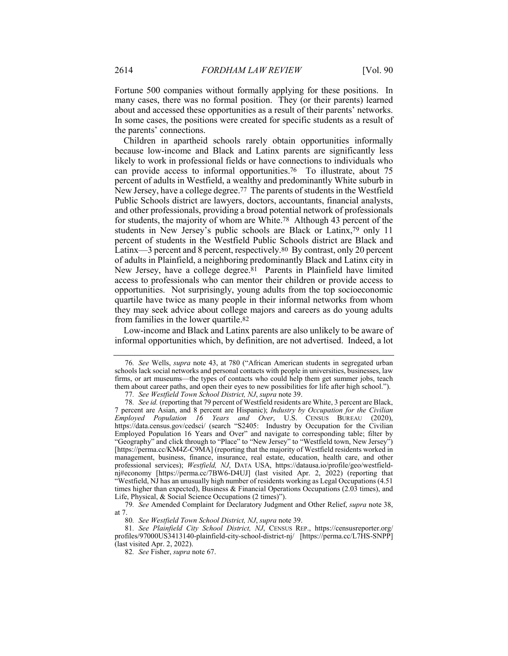Fortune 500 companies without formally applying for these positions. In many cases, there was no formal position. They (or their parents) learned about and accessed these opportunities as a result of their parents' networks. In some cases, the positions were created for specific students as a result of the parents' connections.

Children in apartheid schools rarely obtain opportunities informally because low-income and Black and Latinx parents are significantly less likely to work in professional fields or have connections to individuals who can provide access to informal opportunities.76 To illustrate, about 75 percent of adults in Westfield, a wealthy and predominantly White suburb in New Jersey, have a college degree.77 The parents of students in the Westfield Public Schools district are lawyers, doctors, accountants, financial analysts, and other professionals, providing a broad potential network of professionals for students, the majority of whom are White.78 Although 43 percent of the students in New Jersey's public schools are Black or Latinx,79 only 11 percent of students in the Westfield Public Schools district are Black and Latinx—3 percent and 8 percent, respectively.80 By contrast, only 20 percent of adults in Plainfield, a neighboring predominantly Black and Latinx city in New Jersey, have a college degree.81 Parents in Plainfield have limited access to professionals who can mentor their children or provide access to opportunities. Not surprisingly, young adults from the top socioeconomic quartile have twice as many people in their informal networks from whom they may seek advice about college majors and careers as do young adults from families in the lower quartile.82

Low-income and Black and Latinx parents are also unlikely to be aware of informal opportunities which, by definition, are not advertised. Indeed, a lot

<sup>76</sup>*. See* Wells, *supra* note 43, at 780 ("African American students in segregated urban schools lack social networks and personal contacts with people in universities, businesses, law firms, or art museums—the types of contacts who could help them get summer jobs, teach them about career paths, and open their eyes to new possibilities for life after high school.").

<sup>77</sup>*. See Westfield Town School District, NJ*, *supra* note 39.

<sup>78</sup>*. See id.* (reporting that 79 percent of Westfield residents are White, 3 percent are Black, 7 percent are Asian, and 8 percent are Hispanic); *Industry by Occupation for the Civilian Employed Population 16 Years and Over*, U.S. CENSUS BUREAU (2020), https://data.census.gov/cedsci/ (search "S2405: Industry by Occupation for the Civilian Employed Population 16 Years and Over" and navigate to corresponding table; filter by "Geography" and click through to "Place" to "New Jersey" to "Westfield town, New Jersey") [https://perma.cc/KM4Z-C9MA] (reporting that the majority of Westfield residents worked in management, business, finance, insurance, real estate, education, health care, and other professional services); *Westfield, NJ*, DATA USA, https://datausa.io/profile/geo/westfieldnj#economy [https://perma.cc/7BW6-D4UJ] (last visited Apr. 2, 2022) (reporting that "Westfield, NJ has an unusually high number of residents working as Legal Occupations (4.51 times higher than expected), Business & Financial Operations Occupations (2.03 times), and Life, Physical, & Social Science Occupations (2 times)").

<sup>79</sup>*. See* Amended Complaint for Declaratory Judgment and Other Relief, *supra* note 38, at 7.

<sup>80</sup>*. See Westfield Town School District, NJ*, *supra* note 39.

<sup>81</sup>*. See Plainfield City School District, NJ*, CENSUS REP., https://censusreporter.org/ profiles/97000US3413140-plainfield-city-school-district-nj/ [https://perma.cc/L7HS-SNPP] (last visited Apr. 2, 2022).

<sup>82</sup>*. See* Fisher, *supra* note 67.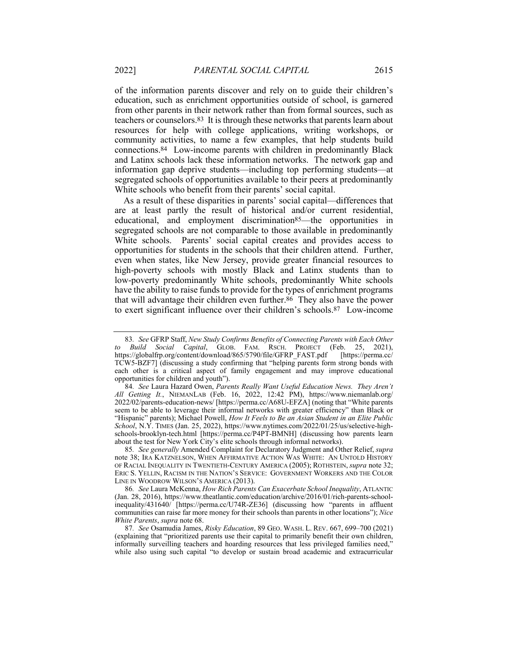of the information parents discover and rely on to guide their children's education, such as enrichment opportunities outside of school, is garnered from other parents in their network rather than from formal sources, such as teachers or counselors.83 It is through these networks that parents learn about resources for help with college applications, writing workshops, or community activities, to name a few examples, that help students build connections.84 Low-income parents with children in predominantly Black and Latinx schools lack these information networks. The network gap and information gap deprive students—including top performing students—at segregated schools of opportunities available to their peers at predominantly White schools who benefit from their parents' social capital.

As a result of these disparities in parents' social capital—differences that are at least partly the result of historical and/or current residential, educational, and employment discrimination85—the opportunities in segregated schools are not comparable to those available in predominantly White schools. Parents' social capital creates and provides access to opportunities for students in the schools that their children attend. Further, even when states, like New Jersey, provide greater financial resources to high-poverty schools with mostly Black and Latinx students than to low-poverty predominantly White schools, predominantly White schools have the ability to raise funds to provide for the types of enrichment programs that will advantage their children even further.86 They also have the power to exert significant influence over their children's schools.87 Low-income

<sup>83</sup>*. See* GFRP Staff, *New Study Confirms Benefits of Connecting Parents with Each Other to Build Social Capital*, GLOB. FAM. RSCH. PROJECT (Feb. 25, 2021), https://globalfrp.org/content/download/865/5790/file/GFRP\_FAST.pdf [https://perma.cc/ TCW5-BZF7] (discussing a study confirming that "helping parents form strong bonds with each other is a critical aspect of family engagement and may improve educational opportunities for children and youth").

<sup>84</sup>*. See* Laura Hazard Owen, *Parents Really Want Useful Education News. They Aren't All Getting It.*, NIEMANLAB (Feb. 16, 2022, 12:42 PM), https://www.niemanlab.org/ 2022/02/parents-education-news/ [https://perma.cc/A68U-EFZA] (noting that "White parents seem to be able to leverage their informal networks with greater efficiency" than Black or "Hispanic" parents); Michael Powell, *How It Feels to Be an Asian Student in an Elite Public School*, N.Y. TIMES (Jan. 25, 2022), https://www.nytimes.com/2022/01/25/us/selective-highschools-brooklyn-tech.html [https://perma.cc/P4PT-BMNH] (discussing how parents learn about the test for New York City's elite schools through informal networks).

<sup>85</sup>*. See generally* Amended Complaint for Declaratory Judgment and Other Relief, *supra* note 38; IRA KATZNELSON, WHEN AFFIRMATIVE ACTION WAS WHITE: AN UNTOLD HISTORY OF RACIAL INEQUALITY IN TWENTIETH-CENTURY AMERICA (2005); ROTHSTEIN, *supra* note 32; ERIC S. YELLIN, RACISM IN THE NATION'S SERVICE: GOVERNMENT WORKERS AND THE COLOR LINE IN WOODROW WILSON'S AMERICA (2013).

<sup>86</sup>*. See* Laura McKenna, *How Rich Parents Can Exacerbate School Inequality*, ATLANTIC (Jan. 28, 2016), https://www.theatlantic.com/education/archive/2016/01/rich-parents-schoolinequality/431640/ [https://perma.cc/U74R-ZE36] (discussing how "parents in affluent communities can raise far more money for their schools than parents in other locations"); *Nice White Parents*, *supra* note 68.

<sup>87</sup>*. See* Osamudia James, *Risky Education*, 89 GEO. WASH. L. REV. 667, 699–700 (2021) (explaining that "prioritized parents use their capital to primarily benefit their own children, informally surveilling teachers and hoarding resources that less privileged families need," while also using such capital "to develop or sustain broad academic and extracurricular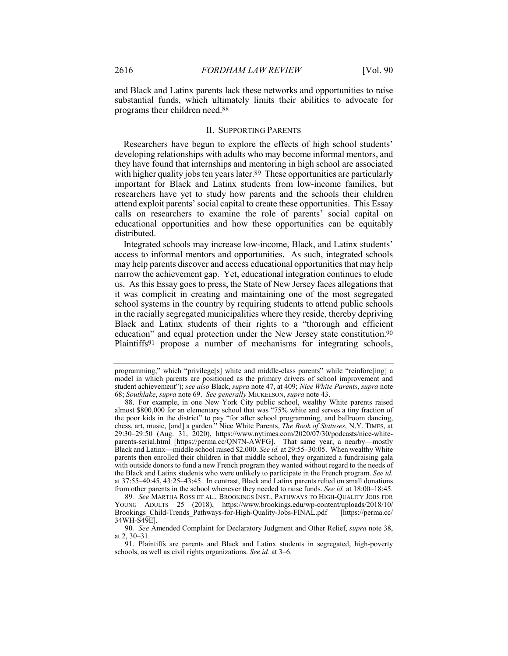and Black and Latinx parents lack these networks and opportunities to raise substantial funds, which ultimately limits their abilities to advocate for programs their children need.88

### II. SUPPORTING PARENTS

Researchers have begun to explore the effects of high school students' developing relationships with adults who may become informal mentors, and they have found that internships and mentoring in high school are associated with higher quality jobs ten years later.<sup>89</sup> These opportunities are particularly important for Black and Latinx students from low-income families, but researchers have yet to study how parents and the schools their children attend exploit parents' social capital to create these opportunities. This Essay calls on researchers to examine the role of parents' social capital on educational opportunities and how these opportunities can be equitably distributed.

Integrated schools may increase low-income, Black, and Latinx students' access to informal mentors and opportunities. As such, integrated schools may help parents discover and access educational opportunities that may help narrow the achievement gap. Yet, educational integration continues to elude us. As this Essay goes to press, the State of New Jersey faces allegations that it was complicit in creating and maintaining one of the most segregated school systems in the country by requiring students to attend public schools in the racially segregated municipalities where they reside, thereby depriving Black and Latinx students of their rights to a "thorough and efficient education" and equal protection under the New Jersey state constitution.90 Plaintiffs<sup>91</sup> propose a number of mechanisms for integrating schools,

programming," which "privilege[s] white and middle-class parents" while "reinforc[ing] a model in which parents are positioned as the primary drivers of school improvement and student achievement"); *see also* Black, *supra* note 47, at 409; *Nice White Parents*, *supra* note 68; *Southlake*, *supra* note 69. *See generally* MICKELSON, *supra* note 43.

<sup>88.</sup> For example, in one New York City public school, wealthy White parents raised almost \$800,000 for an elementary school that was "75% white and serves a tiny fraction of the poor kids in the district" to pay "for after school programming, and ballroom dancing, chess, art, music, [and] a garden." Nice White Parents, *The Book of Statuses*, N.Y. TIMES, at 29:30–29:50 (Aug. 31, 2020), https://www.nytimes.com/2020/07/30/podcasts/nice-whiteparents-serial.html [https://perma.cc/QN7N-AWFG]. That same year, a nearby—mostly Black and Latinx—middle school raised \$2,000. *See id.* at 29:55–30:05. When wealthy White parents then enrolled their children in that middle school, they organized a fundraising gala with outside donors to fund a new French program they wanted without regard to the needs of the Black and Latinx students who were unlikely to participate in the French program. *See id.* at 37:55–40:45, 43:25–43:45. In contrast, Black and Latinx parents relied on small donations from other parents in the school whenever they needed to raise funds. *See id.* at 18:00–18:45.

<sup>89</sup>*. See* MARTHA ROSS ET AL., BROOKINGS INST., PATHWAYS TO HIGH-QUALITY JOBS FOR YOUNG ADULTS 25 (2018), https://www.brookings.edu/wp-content/uploads/2018/10/ Brookings\_Child-Trends\_Pathways-for-High-Quality-Jobs-FINAL.pdf 34WH-S49E].

<sup>90</sup>*. See* Amended Complaint for Declaratory Judgment and Other Relief, *supra* note 38, at 2, 30–31.

<sup>91.</sup> Plaintiffs are parents and Black and Latinx students in segregated, high-poverty schools, as well as civil rights organizations. *See id.* at 3–6.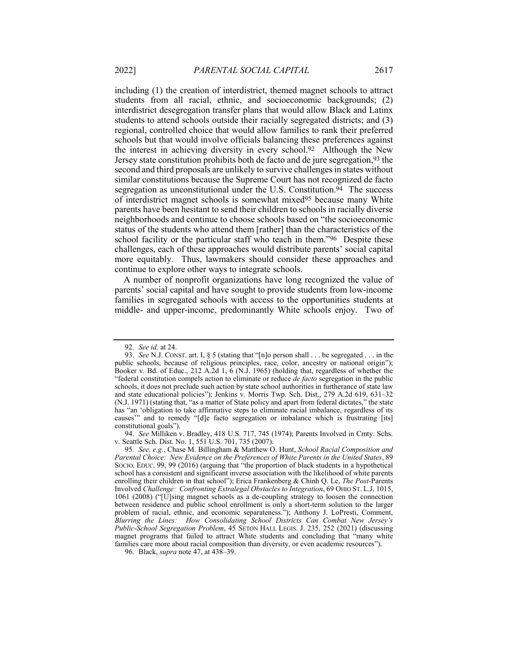including (1) the creation of interdistrict, themed magnet schools to attract students from all racial, ethnic, and socioeconomic backgrounds; (2) interdistrict desegregation transfer plans that would allow Black and Latinx students to attend schools outside their racially segregated districts; and (3) regional, controlled choice that would allow families to rank their preferred schools but that would involve officials balancing these preferences against the interest in achieving diversity in every school.92 Although the New Jersey state constitution prohibits both de facto and de jure segregation,93 the second and third proposals are unlikely to survive challenges in states without similar constitutions because the Supreme Court has not recognized de facto segregation as unconstitutional under the U.S. Constitution.<sup>94</sup> The success of interdistrict magnet schools is somewhat mixed95 because many White parents have been hesitant to send their children to schools in racially diverse neighborhoods and continue to choose schools based on "the socioeconomic status of the students who attend them [rather] than the characteristics of the school facility or the particular staff who teach in them."96 Despite these challenges, each of these approaches would distribute parents' social capital more equitably. Thus, lawmakers should consider these approaches and continue to explore other ways to integrate schools.

A number of nonprofit organizations have long recognized the value of parents' social capital and have sought to provide students from low-income families in segregated schools with access to the opportunities students at middle- and upper-income, predominantly White schools enjoy. Two of

94. *See* Milliken v. Bradley, 418 U.S. 717, 745 (1974); Parents Involved in Cmty. Schs. v. Seattle Sch. Dist. No. 1, 551 U.S. 701, 735 (2007).

<sup>92</sup>*. See id.* at 24.

<sup>93.</sup> *See* N.J. CONST. art. I, § 5 (stating that "[n]o person shall . . . be segregated . . . in the public schools, because of religious principles, race, color, ancestry or national origin"); Booker v. Bd. of Educ., 212 A.2d 1, 6 (N.J. 1965) (holding that, regardless of whether the "federal constitution compels action to eliminate or reduce *de facto* segregation in the public schools, it does not preclude such action by state school authorities in furtherance of state law and state educational policies"); Jenkins v. Morris Twp. Sch. Dist., 279 A.2d 619, 631–32 (N.J. 1971) (stating that, "as a matter of State policy and apart from federal dictates," the state has "an 'obligation to take affirmative steps to eliminate racial imbalance, regardless of its causes'" and to remedy "[d]e facto segregation or imbalance which is frustrating [its] constitutional goals").

<sup>95</sup>*. See, e.g.*, Chase M. Billingham & Matthew O. Hunt, *School Racial Composition and Parental Choice: New Evidence on the Preferences of White Parents in the United States*, 89 SOCIO. EDUC. 99, 99 (2016) (arguing that "the proportion of black students in a hypothetical school has a consistent and significant inverse association with the likelihood of white parents enrolling their children in that school"); Erica Frankenberg & Chinh Q. Le, *The Post-*Parents Involved *Challenge: Confronting Extralegal Obstacles to Integration*, 69 OHIO ST. L.J. 1015, 1061 (2008) ("[U]sing magnet schools as a de-coupling strategy to loosen the connection between residence and public school enrollment is only a short-term solution to the larger problem of racial, ethnic, and economic separateness."); Anthony J. LoPresti, Comment, *Blurring the Lines: How Consolidating School Districts Can Combat New Jersey's Public-School Segregation Problem*, 45 SETON HALL LEGIS. J. 235, 252 (2021) (discussing magnet programs that failed to attract White students and concluding that "many white families care more about racial composition than diversity, or even academic resources").

<sup>96.</sup> Black, *supra* note 47, at 438–39.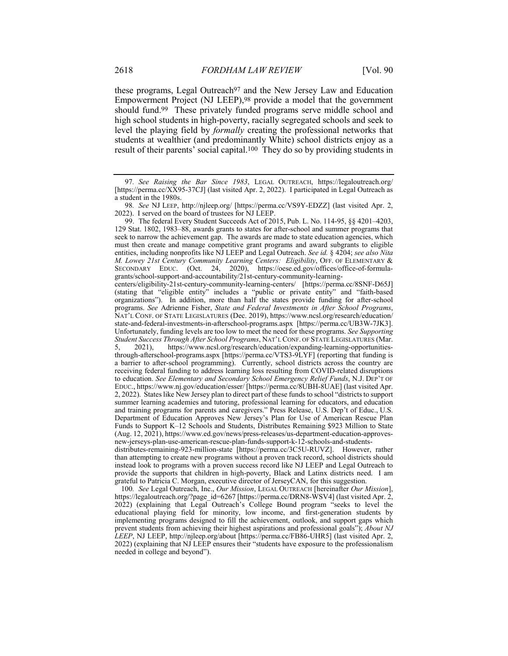these programs, Legal Outreach97 and the New Jersey Law and Education Empowerment Project (NJ LEEP),98 provide a model that the government should fund.99 These privately funded programs serve middle school and high school students in high-poverty, racially segregated schools and seek to level the playing field by *formally* creating the professional networks that students at wealthier (and predominantly White) school districts enjoy as a result of their parents' social capital.100 They do so by providing students in

99. The federal Every Student Succeeds Act of 2015, Pub. L. No. 114-95, §§ 4201–4203, 129 Stat. 1802, 1983–88, awards grants to states for after-school and summer programs that seek to narrow the achievement gap. The awards are made to state education agencies, which must then create and manage competitive grant programs and award subgrants to eligible entities, including nonprofits like NJ LEEP and Legal Outreach. *See id.* § 4204; *see also Nita M. Lowey 21st Century Community Learning Centers: Eligibility*, OFF. OF ELEMENTARY & SECONDARY EDUC. (Oct. 24, 2020), https://oese.ed.gov/offices/office-of-formulagrants/school-support-and-accountability/21st-century-community-learning-

100*. See* Legal Outreach, Inc., *Our Mission*, LEGAL OUTREACH [hereinafter *Our Mission*], https://legaloutreach.org/?page\_id=6267 [https://perma.cc/DRN8-WSV4] (last visited Apr. 2, 2022) (explaining that Legal Outreach's College Bound program "seeks to level the educational playing field for minority, low income, and first-generation students by implementing programs designed to fill the achievement, outlook, and support gaps which prevent students from achieving their highest aspirations and professional goals"); *About NJ LEEP*, NJ LEEP, http://njleep.org/about [https://perma.cc/FB86-UHR5] (last visited Apr. 2, 2022) (explaining that NJ LEEP ensures their "students have exposure to the professionalism needed in college and beyond").

<sup>97</sup>*. See Raising the Bar Since 1983*, LEGAL OUTREACH, https://legaloutreach.org/ [https://perma.cc/XX95-37CJ] (last visited Apr. 2, 2022). I participated in Legal Outreach as a student in the 1980s.

<sup>98</sup>*. See* NJ LEEP, http://njleep.org/ [https://perma.cc/VS9Y-EDZZ] (last visited Apr. 2, 2022). I served on the board of trustees for NJ LEEP.

centers/eligibility-21st-century-community-learning-centers/ [https://perma.cc/8SNF-D65J] (stating that "eligible entity" includes a "public or private entity" and "faith-based organizations"). In addition, more than half the states provide funding for after-school programs. *See* Adrienne Fisher, *State and Federal Investments in After School Programs*, NAT'L CONF. OF STATE LEGISLATURES (Dec. 2019), https://www.ncsl.org/research/education/ state-and-federal-investments-in-afterschool-programs.aspx [https://perma.cc/UB3W-7JK3]. Unfortunately, funding levels are too low to meet the need for these programs. *See Supporting Student Success Through After School Programs*, NAT'L CONF. OF STATE LEGISLATURES (Mar. 5, 2021), https://www.ncsl.org/research/education/expanding-learning-opportunitiesthrough-afterschool-programs.aspx [https://perma.cc/VTS3-9LYF] (reporting that funding is a barrier to after-school programming). Currently, school districts across the country are receiving federal funding to address learning loss resulting from COVID-related disruptions to education. *See Elementary and Secondary School Emergency Relief Funds*, N.J. DEP'T OF EDUC., https://www.nj.gov/education/esser/ [https://perma.cc/8UBH-8UAE] (last visited Apr. 2, 2022). States like New Jersey plan to direct part of these funds to school "districts to support summer learning academies and tutoring, professional learning for educators, and education and training programs for parents and caregivers." Press Release, U.S. Dep't of Educ., U.S. Department of Education Approves New Jersey's Plan for Use of American Rescue Plan Funds to Support K–12 Schools and Students, Distributes Remaining \$923 Million to State (Aug. 12, 2021), https://www.ed.gov/news/press-releases/us-department-education-approvesnew-jerseys-plan-use-american-rescue-plan-funds-support-k-12-schools-and-studentsdistributes-remaining-923-million-state [https://perma.cc/3C5U-RUVZ]. However, rather

than attempting to create new programs without a proven track record, school districts should instead look to programs with a proven success record like NJ LEEP and Legal Outreach to provide the supports that children in high-poverty, Black and Latinx districts need. I am grateful to Patricia C. Morgan, executive director of JerseyCAN, for this suggestion.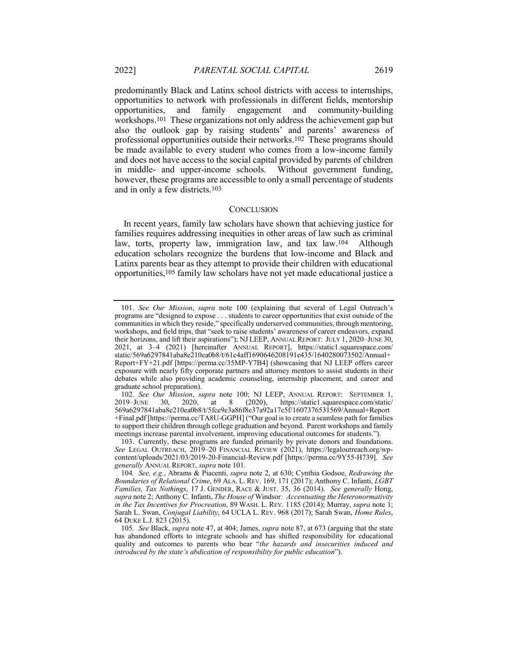predominantly Black and Latinx school districts with access to internships, opportunities to network with professionals in different fields, mentorship opportunities, and family engagement and community-building workshops.101 These organizations not only address the achievement gap but also the outlook gap by raising students' and parents' awareness of professional opportunities outside their networks.102 These programs should be made available to every student who comes from a low-income family and does not have access to the social capital provided by parents of children in middle- and upper-income schools. Without government funding, however, these programs are accessible to only a small percentage of students

#### **CONCLUSION**

In recent years, family law scholars have shown that achieving justice for families requires addressing inequities in other areas of law such as criminal law, torts, property law, immigration law, and tax law.104 Although education scholars recognize the burdens that low-income and Black and Latinx parents bear as they attempt to provide their children with educational opportunities,105 family law scholars have not yet made educational justice a

and in only a few districts.103

<sup>101</sup>*. See Our Mission*, *supra* note 100 (explaining that several of Legal Outreach's programs are "designed to expose . . . students to career opportunities that exist outside of the communities in which they reside," specifically underserved communities, through mentoring, workshops, and field trips, that "seek to raise students' awareness of career endeavors, expand their horizons, and lift their aspirations"); NJ LEEP, ANNUAL REPORT: JULY 1, 2020–JUNE 30, 2021, at 3–4 (2021) [hereinafter ANNUAL REPORT], https://static1.squarespace.com/ static/569a6297841aba8e210ea0b8/t/61c4aff1690646208191e435/1640280073502/Annual+ Report+FY+21.pdf [https://perma.cc/35MP-Y7B4] (showcasing that NJ LEEP offers career exposure with nearly fifty corporate partners and attorney mentors to assist students in their debates while also providing academic counseling, internship placement, and career and graduate school preparation).

<sup>102</sup>*. See Our Mission*, *supra* note 100; NJ LEEP, ANNUAL REPORT: SEPTEMBER 1, 2019–JUNE 30, 2020, at 8 (2020), https://static1.squarespace.com/static/ 569a6297841aba8e210ea0b8/t/5fce9e3a86f8e37a92a17c5f/1607376531569/Annual+Report +Final.pdf [https://perma.cc/TA8U-GGPH] ("Our goal is to create a seamless path for families to support their children through college graduation and beyond. Parent workshops and family meetings increase parental involvement, improving educational outcomes for students.").

<sup>103.</sup> Currently, these programs are funded primarily by private donors and foundations. *See* LEGAL OUTREACH, 2019–20 FINANCIAL REVIEW (2021), https://legaloutreach.org/wpcontent/uploads/2021/03/2019-20-Financial-Review.pdf [https://perma.cc/9Y55-H739]. *See generally* ANNUAL REPORT, *supra* note 101.

<sup>104</sup>*. See, e.g.*, Abrams & Piacenti, *supra* note 2, at 630; Cynthia Godsoe, *Redrawing the Boundaries of Relational Crime*, 69 ALA. L. REV. 169, 171 (2017); Anthony C. Infanti, *LGBT Families, Tax Nothings*, 17 J. GENDER, RACE & JUST. 35, 36 (2014). *See generally* Hong, *supra* note 2; Anthony C. Infanti, *The House of* Windsor*: Accentuating the Heteronormativity in the Tax Incentives for Procreation*, 89 WASH. L. REV. 1185 (2014); Murray, *supra* note 1; Sarah L. Swan, *Conjugal Liability*, 64 UCLA L. REV. 968 (2017); Sarah Swan, *Home Rules*, 64 DUKE L.J. 823 (2015).

<sup>105</sup>*. See* Black, *supra* note 47, at 404; James, *supra* note 87, at 673 (arguing that the state has abandoned efforts to integrate schools and has shifted responsibility for educational quality and outcomes to parents who bear "*the hazards and insecurities induced and introduced by the state's abdication of responsibility for public education*").